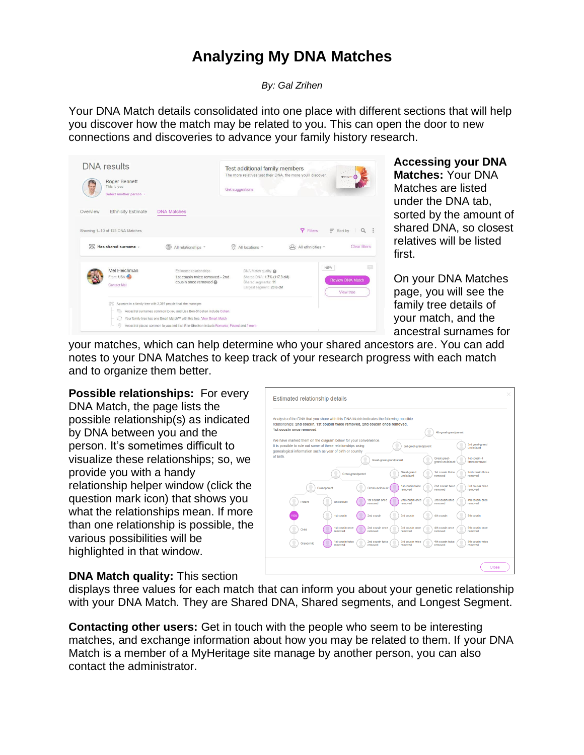## **Analyzing My DNA Matches**

*By: Gal Zrihen*

Your DNA Match details consolidated into one place with different sections that will help you discover how the match may be related to you. This can open the door to new connections and discoveries to advance your family history research.

|          | <b>DNA</b> results<br>Roger Bennett<br>This is you<br>Select another person + |                                                                                                                                                                                                                                                                                                                      | Test additional family members<br>The more relatives test their DNA, the more you'll discover.<br>Get suggestions |                        | Other                                |
|----------|-------------------------------------------------------------------------------|----------------------------------------------------------------------------------------------------------------------------------------------------------------------------------------------------------------------------------------------------------------------------------------------------------------------|-------------------------------------------------------------------------------------------------------------------|------------------------|--------------------------------------|
| Overview | <b>Ethnicity Estimate</b>                                                     | <b>DNA Matches</b>                                                                                                                                                                                                                                                                                                   |                                                                                                                   |                        |                                      |
|          | Showing 1-10 of 123 DNA Matches                                               |                                                                                                                                                                                                                                                                                                                      |                                                                                                                   | <b>Y</b> Filters       | $\equiv$ Sort by<br>$\alpha$         |
|          | Has shared surname -                                                          | All relationships *                                                                                                                                                                                                                                                                                                  | (9)<br>All locations *                                                                                            | $QQ$ All ethnicities - | <b>Clear filters</b>                 |
|          | Mel Heichman<br>From: USA<br><b>Contact Mel</b>                               | Estimated relationships<br>1st cousin twice removed - 2nd<br>cousin once removed                                                                                                                                                                                                                                     | DNA Match quality<br>Shared DNA: 1.7% (117.3 cM)<br>Shared seaments: 11<br>Largest segment: 20.6 cM               | NEW                    | <b>Review DNA Match</b><br>View tree |
|          | 器<br>0                                                                        | Appears in a family tree with 2,397 people that she manages<br>Ancestral surnames common to you and Lisa Ben-Shoshan include Cohen.<br>Your family tree has one Smart Match <sup>m</sup> with this tree. View Smart Match<br>Ancestral places common to you and Lisa Ben-Shoshan include Romania; Poland and 2 more. |                                                                                                                   |                        |                                      |

## **Accessing your DNA Matches:** Your DNA Matches are listed under the DNA tab, sorted by the amount of shared DNA, so closest relatives will be listed first.

On your DNA Matches page, you will see the family tree details of your match, and the ancestral surnames for

your matches, which can help determine who your shared ancestors are. You can add notes to your DNA Matches to keep track of your research progress with each match and to organize them better.

**Possible relationships:** For every DNA Match, the page lists the possible relationship(s) as indicated by DNA between you and the person. It's sometimes difficult to visualize these relationships; so, we provide you with a handy relationship helper window (click the question mark icon) that shows you what the relationships mean. If more than one relationship is possible, the various possibilities will be highlighted in that window.

| Estimated relationship details                                                                                                                                                                                                                        |  |
|-------------------------------------------------------------------------------------------------------------------------------------------------------------------------------------------------------------------------------------------------------|--|
| Analysis of the DNA that you share with this DNA Match indicates the following possible<br>relationships: 2nd cousin, 1st cousin twice removed, 2nd cousin once removed,<br>1st cousin once removed.<br>4th-great-grandparent                         |  |
| We have marked them on the diagram below for your convenience.<br>3rd great-grand<br>It is possible to rule out some of these relationships using<br>3rd-great-grandparent<br>uncle/aunt<br>genealogical information such as year of birth or country |  |
| of birth<br>1st cousin-4<br>Great-great-<br>Great-great-grandparent<br>grand uncle/aunt<br>times removed                                                                                                                                              |  |
| Great-grand<br>1st cousin thrice<br>2nd cousin thrice<br>Great-grandparent<br>uncle/aunt<br>removed<br>removed                                                                                                                                        |  |
| 1st cousin twice<br>2nd cousin twice<br>3rd cousin twice<br>Grandparent<br>Great-uncle/aunt<br>removed<br>removed<br>removed                                                                                                                          |  |
| 1st cousin once<br>2nd cousin once<br>3rd cousin once<br>4th cousin once<br>Uncle/aunt<br>Parent<br>removed<br>removed<br>removed<br>removed                                                                                                          |  |
| YOU<br>2nd cousin<br>3rd cousin<br>1st cousin<br>4th cousin<br>5th cousin<br>3rd cousin once<br>1st cousin once<br>2nd cousin once<br>4th cousin once<br>5th cousin once<br>Child                                                                     |  |
| removed<br>removed<br>removed<br>removed<br>removed<br>1st cousin twice<br>2nd cousin twice<br>3rd cousin twice<br>5th cousin twice<br>4th cousin twice<br>Grandchild<br>removed<br>removed<br>removed<br>removed<br>bayomar                          |  |
|                                                                                                                                                                                                                                                       |  |
| Close                                                                                                                                                                                                                                                 |  |

## **DNA Match quality:** This section

displays three values for each match that can inform you about your genetic relationship with your DNA Match. They are Shared DNA, Shared segments, and Longest Segment.

**Contacting other users:** Get in touch with the people who seem to be interesting matches, and exchange information about how you may be related to them. If your DNA Match is a member of a MyHeritage site manage by another person, you can also contact the administrator.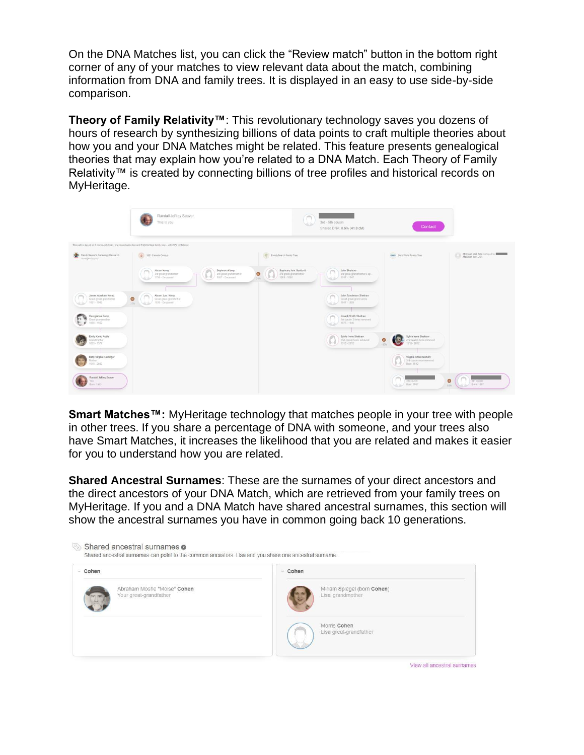On the DNA Matches list, you can click the "Review match" button in the bottom right corner of any of your matches to view relevant data about the match, combining information from DNA and family trees. It is displayed in an easy to use side-by-side comparison.

**Theory of Family Relativity™**: This revolutionary technology saves you dozens of hours of research by synthesizing billions of data points to craft multiple theories about how you and your DNA Matches might be related. This feature presents genealogical theories that may explain how you're related to a DNA Match. Each Theory of Family Relativity™ is created by connecting billions of tree profiles and historical records on MyHeritage.



**Smart Matches™:** MyHeritage technology that matches people in your tree with people in other trees. If you share a percentage of DNA with someone, and your trees also have Smart Matches, it increases the likelihood that you are related and makes it easier for you to understand how you are related.

**Shared Ancestral Surnames**: These are the surnames of your direct ancestors and the direct ancestors of your DNA Match, which are retrieved from your family trees on MyHeritage. If you and a DNA Match have shared ancestral surnames, this section will show the ancestral surnames you have in common going back 10 generations.

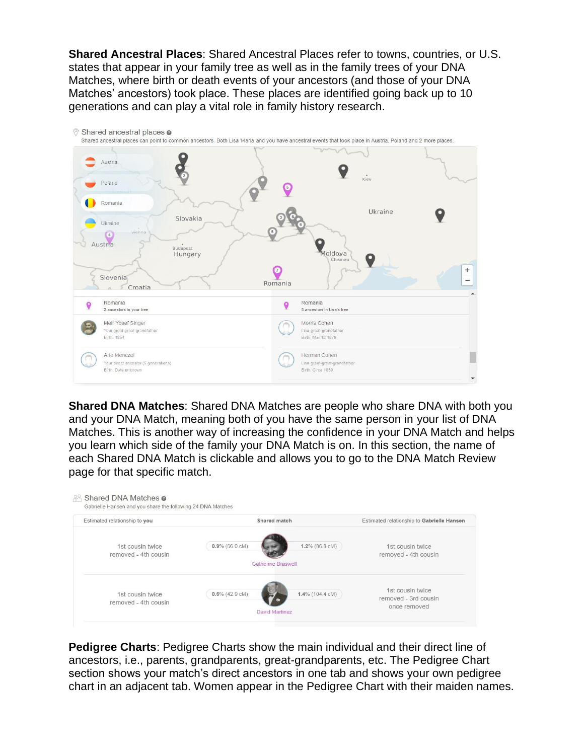**Shared Ancestral Places**: Shared Ancestral Places refer to towns, countries, or U.S. states that appear in your family tree as well as in the family trees of your DNA Matches, where birth or death events of your ancestors (and those of your DNA Matches' ancestors) took place. These places are identified going back up to 10 generations and can play a vital role in family history research.



**Shared DNA Matches**: Shared DNA Matches are people who share DNA with both you and your DNA Match, meaning both of you have the same person in your list of DNA Matches. This is another way of increasing the confidence in your DNA Match and helps you learn which side of the family your DNA Match is on. In this section, the name of each Shared DNA Match is clickable and allows you to go to the DNA Match Review page for that specific match.

| Estimated relationship to you            | Shared match              | Estimated relationship to Gabrielle Hansen                  |
|------------------------------------------|---------------------------|-------------------------------------------------------------|
| 1st cousin twice<br>removed - 4th cousin | $0.9\%$ (66.0 cM)         | 1.2% (86.8 cM)<br>1st cousin twice<br>removed - 4th cousin  |
|                                          | <b>Catherine Braswell</b> |                                                             |
| 1st cousin twice                         | $0.6\%$ (42.9 cM)         | 1st cousin twice<br>1.4% (104.4 cM)<br>removed - 3rd cousin |

**Pedigree Charts**: Pedigree Charts show the main individual and their direct line of ancestors, i.e., parents, grandparents, great-grandparents, etc. The Pedigree Chart section shows your match's direct ancestors in one tab and shows your own pedigree chart in an adjacent tab. Women appear in the Pedigree Chart with their maiden names.